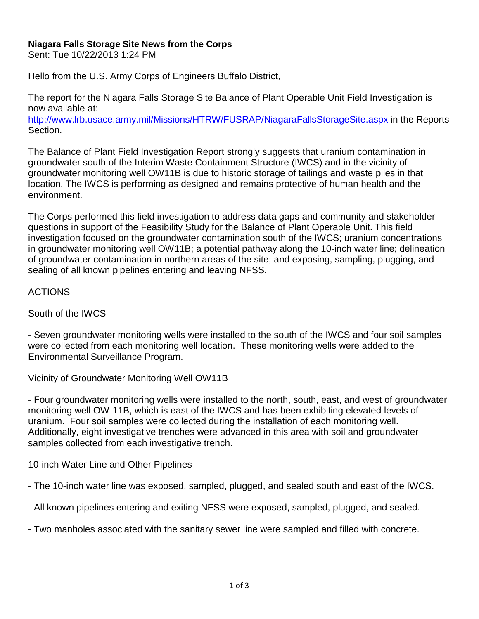## **Niagara Falls Storage Site News from the Corps**

Sent: Tue 10/22/2013 1:24 PM

Hello from the U.S. Army Corps of Engineers Buffalo District,

The report for the Niagara Falls Storage Site Balance of Plant Operable Unit Field Investigation is now available at:

<http://www.lrb.usace.army.mil/Missions/HTRW/FUSRAP/NiagaraFallsStorageSite.aspx> in the Reports Section.

The Balance of Plant Field Investigation Report strongly suggests that uranium contamination in groundwater south of the Interim Waste Containment Structure (IWCS) and in the vicinity of groundwater monitoring well OW11B is due to historic storage of tailings and waste piles in that location. The IWCS is performing as designed and remains protective of human health and the environment.

The Corps performed this field investigation to address data gaps and community and stakeholder questions in support of the Feasibility Study for the Balance of Plant Operable Unit. This field investigation focused on the groundwater contamination south of the IWCS; uranium concentrations in groundwater monitoring well OW11B; a potential pathway along the 10-inch water line; delineation of groundwater contamination in northern areas of the site; and exposing, sampling, plugging, and sealing of all known pipelines entering and leaving NFSS.

## ACTIONS

South of the IWCS

- Seven groundwater monitoring wells were installed to the south of the IWCS and four soil samples were collected from each monitoring well location. These monitoring wells were added to the Environmental Surveillance Program.

Vicinity of Groundwater Monitoring Well OW11B

- Four groundwater monitoring wells were installed to the north, south, east, and west of groundwater monitoring well OW-11B, which is east of the IWCS and has been exhibiting elevated levels of uranium. Four soil samples were collected during the installation of each monitoring well. Additionally, eight investigative trenches were advanced in this area with soil and groundwater samples collected from each investigative trench.

10-inch Water Line and Other Pipelines

- The 10-inch water line was exposed, sampled, plugged, and sealed south and east of the IWCS.

- All known pipelines entering and exiting NFSS were exposed, sampled, plugged, and sealed.

- Two manholes associated with the sanitary sewer line were sampled and filled with concrete.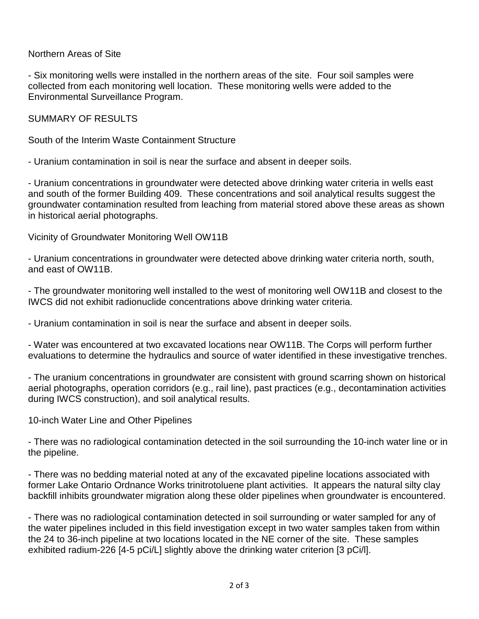Northern Areas of Site

- Six monitoring wells were installed in the northern areas of the site. Four soil samples were collected from each monitoring well location. These monitoring wells were added to the Environmental Surveillance Program.

SUMMARY OF RESULTS

South of the Interim Waste Containment Structure

- Uranium contamination in soil is near the surface and absent in deeper soils.

- Uranium concentrations in groundwater were detected above drinking water criteria in wells east and south of the former Building 409. These concentrations and soil analytical results suggest the groundwater contamination resulted from leaching from material stored above these areas as shown in historical aerial photographs.

Vicinity of Groundwater Monitoring Well OW11B

- Uranium concentrations in groundwater were detected above drinking water criteria north, south, and east of OW11B.

- The groundwater monitoring well installed to the west of monitoring well OW11B and closest to the IWCS did not exhibit radionuclide concentrations above drinking water criteria.

- Uranium contamination in soil is near the surface and absent in deeper soils.

- Water was encountered at two excavated locations near OW11B. The Corps will perform further evaluations to determine the hydraulics and source of water identified in these investigative trenches.

- The uranium concentrations in groundwater are consistent with ground scarring shown on historical aerial photographs, operation corridors (e.g., rail line), past practices (e.g., decontamination activities during IWCS construction), and soil analytical results.

10-inch Water Line and Other Pipelines

- There was no radiological contamination detected in the soil surrounding the 10-inch water line or in the pipeline.

- There was no bedding material noted at any of the excavated pipeline locations associated with former Lake Ontario Ordnance Works trinitrotoluene plant activities. It appears the natural silty clay backfill inhibits groundwater migration along these older pipelines when groundwater is encountered.

- There was no radiological contamination detected in soil surrounding or water sampled for any of the water pipelines included in this field investigation except in two water samples taken from within the 24 to 36-inch pipeline at two locations located in the NE corner of the site. These samples exhibited radium-226 [4-5 pCi/L] slightly above the drinking water criterion [3 pCi/l].